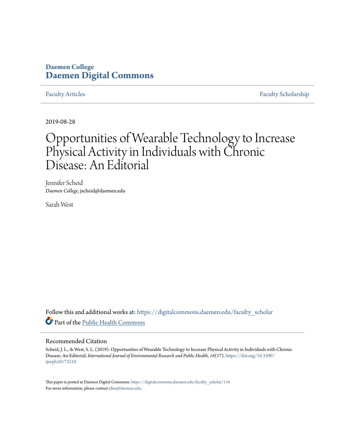## **Daemen College [Daemen Digital Commons](https://digitalcommons.daemen.edu/?utm_source=digitalcommons.daemen.edu%2Ffaculty_scholar%2F116&utm_medium=PDF&utm_campaign=PDFCoverPages)**

[Faculty Articles](https://digitalcommons.daemen.edu/faculty_scholar?utm_source=digitalcommons.daemen.edu%2Ffaculty_scholar%2F116&utm_medium=PDF&utm_campaign=PDFCoverPages) [Faculty Scholarship](https://digitalcommons.daemen.edu/faculty?utm_source=digitalcommons.daemen.edu%2Ffaculty_scholar%2F116&utm_medium=PDF&utm_campaign=PDFCoverPages)

2019-08-28

# Opportunities of Wearable Technology to Increase Physical Activity in Individuals with Chronic Disease: An Editorial

Jennifer Scheid *Daemen College*, jscheid@daemen.edu

Sarah West

Follow this and additional works at: [https://digitalcommons.daemen.edu/faculty\\_scholar](https://digitalcommons.daemen.edu/faculty_scholar?utm_source=digitalcommons.daemen.edu%2Ffaculty_scholar%2F116&utm_medium=PDF&utm_campaign=PDFCoverPages) Part of the [Public Health Commons](http://network.bepress.com/hgg/discipline/738?utm_source=digitalcommons.daemen.edu%2Ffaculty_scholar%2F116&utm_medium=PDF&utm_campaign=PDFCoverPages)

### Recommended Citation

Scheid, J. L., & West, S. L. (2019). Opportunities of Wearable Technology to Increase Physical Activity in Individuals with Chronic Disease: An Editorial. *International Journal of Environmental Research and Public Health*, *16*(17). [https://doi.org/10.3390/](https://doi.org/10.3390/ijerph16173124) [ijerph16173124](https://doi.org/10.3390/ijerph16173124)

This paper is posted at Daemen Digital Commons. [https://digitalcommons.daemen.edu/faculty\\_scholar/116](https://digitalcommons.daemen.edu/faculty_scholar/116) For more information, please contact [jdise@daemen.edu](mailto:jdise@daemen.edu).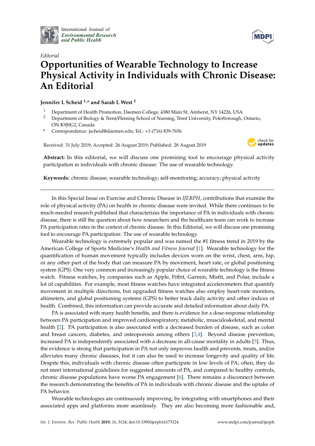

International Journal of *[Environmental Research](http://www.mdpi.com/journal/ijerph) and Public Health*



# *Editorial* **Opportunities of Wearable Technology to Increase Physical Activity in Individuals with Chronic Disease: An Editorial**

**Jennifer L Scheid 1,\* and Sarah L West <sup>2</sup>**

- <sup>1</sup> Department of Health Promotion, Daemen College, 4380 Main St, Amherst, NY 14226, USA
- <sup>2</sup> Department of Biology & Trent/Fleming School of Nursing, Trent University, Peterborough, Ontario, ON K9J0G2, Canada
- **\*** Correspondence: jscheid@daemen.edu; Tel.: +1-(716) 839-7656

Received: 31 July 2019; Accepted: 26 August 2019; Published: 28 August 2019



**Abstract:** In this editorial, we will discuss one promising tool to encourage physical activity participation in individuals with chronic disease: The use of wearable technology.

**Keywords:** chronic disease; wearable technology; self-monitoring; accuracy; physical activity

In this Special Issue on Exercise and Chronic Disease in *IJERPH*, contributions that examine the role of physical activity (PA) on health in chronic disease were invited. While there continues to be much-needed research published that characterizes the importance of PA in individuals with chronic disease, there is still the question about how researchers and the healthcare team can work to increase PA participation rates in the context of chronic disease. In this Editorial, we will discuss one promising tool to encourage PA participation: The use of wearable technology.

Wearable technology is extremely popular and was named the #1 fitness trend in 2019 by the American College of Sports Medicine's *Health and Fitness Journal* [\[1\]](#page-5-0). Wearable technology for the quantification of human movement typically includes devices worn on the wrist, chest, arm, hip, or any other part of the body that can measure PA by movement, heart rate, or global positioning system (GPS). One very common and increasingly popular choice of wearable technology is the fitness watch. Fitness watches, by companies such as Apple, Fitbit, Garmin, Misfit, and Polar, include a lot of capabilities. For example, most fitness watches have integrated accelerometers that quantify movement in multiple directions, but upgraded fitness watches also employ heart-rate monitors, altimeters, and global positioning systems (GPS) to better track daily activity and other indices of health. Combined, this information can provide accurate and detailed information about daily PA.

PA is associated with many health benefits, and there is evidence for a dose-response relationship between PA participation and improved cardiorespiratory, metabolic, musculoskeletal, and mental health [\[2\]](#page-5-1). PA participation is also associated with a decreased burden of disease, such as colon and breast cancers, diabetes, and osteoporosis among others [\[3,](#page-5-2)[4\]](#page-5-3). Beyond disease prevention, increased PA is independently associated with a decrease in all-cause mortality in adults [\[5\]](#page-5-4). Thus, the evidence is strong that participation in PA not only improves health and prevents, treats, and/or alleviates many chronic diseases, but it can also be used to increase longevity and quality of life. Despite this, individuals with chronic disease often participate in low levels of PA; often, they do not meet international guidelines for suggested amounts of PA, and compared to healthy controls, chronic disease populations have worse PA engagement [\[6\]](#page-5-5). There remains a disconnect between the research demonstrating the benefits of PA in individuals with chronic disease and the uptake of PA behavior.

Wearable technologies are continuously improving, by integrating with smartphones and their associated apps and platforms more seamlessly. They are also becoming more fashionable and,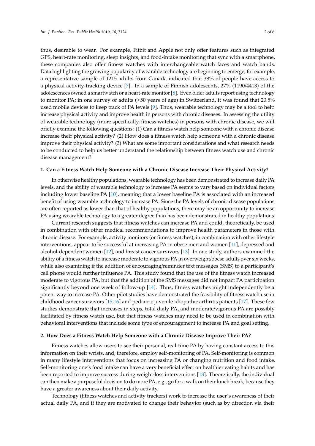thus, desirable to wear. For example, Fitbit and Apple not only offer features such as integrated GPS, heart-rate monitoring, sleep insights, and food-intake monitoring that sync with a smartphone, these companies also offer fitness watches with interchangeable watch faces and watch bands. Data highlighting the growing popularity of wearable technology are beginning to emerge; for example, a representative sample of 1215 adults from Canada indicated that 38% of people have access to a physical activity-tracking device [\[7\]](#page-5-6). In a sample of Finnish adolescents, 27% (1190/4413) of the adolescences owned a smartwatch or a heart-rate monitor [\[8\]](#page-5-7). Even older adults report using technology to monitor PA; in one survey of adults (≥50 years of age) in Switzerland, it was found that 20.5% used mobile devices to keep track of PA levels [\[9\]](#page-5-8). Thus, wearable technology may be a tool to help increase physical activity and improve health in persons with chronic diseases. In assessing the utility of wearable technology (more specifically, fitness watches) in persons with chronic disease, we will briefly examine the following questions: (1) Can a fitness watch help someone with a chronic disease increase their physical activity? (2) How does a fitness watch help someone with a chronic disease improve their physical activity? (3) What are some important considerations and what research needs to be conducted to help us better understand the relationship between fitness watch use and chronic disease management?

#### **1. Can a Fitness Watch Help Someone with a Chronic Disease Increase Their Physical Activity?**

In otherwise healthy populations, wearable technology has been demonstrated to increase daily PA levels, and the ability of wearable technology to increase PA seems to vary based on individual factors including lower baseline PA [\[10\]](#page-5-9), meaning that a lower baseline PA is associated with an increased benefit of using wearable technology to increase PA. Since the PA levels of chronic disease populations are often reported as lower than that of healthy populations, there may be an opportunity to increase PA using wearable technology to a greater degree than has been demonstrated in healthy populations.

Current research suggests that fitness watches can increase PA and could, theoretically, be used in combination with other medical recommendations to improve health parameters in those with chronic disease. For example, activity monitors (or fitness watches), in combination with other lifestyle interventions, appear to be successful at increasing PA in obese men and women [\[11\]](#page-5-10), depressed and alcohol-dependent women [\[12\]](#page-5-11), and breast cancer survivors [\[13\]](#page-6-0). In one study, authors examined the ability of a fitness watch to increase moderate to vigorous PA in overweight/obese adults over six weeks, while also examining if the addition of encouraging/reminder text messages (SMS) to a participant's cell phone would further influence PA. This study found that the use of the fitness watch increased moderate to vigorous PA, but that the addition of the SMS messages did not impact PA participation significantly beyond one week of follow-up [\[14\]](#page-6-1). Thus, fitness watches might independently be a potent way to increase PA. Other pilot studies have demonstrated the feasibility of fitness watch use in childhood cancer survivors [\[15](#page-6-2)[,16\]](#page-6-3) and pediatric juvenile idiopathic arthritis patients [\[17\]](#page-6-4). These few studies demonstrate that increases in steps, total daily PA, and moderate/vigorous PA are possibly facilitated by fitness watch use, but that fitness watches may need to be used in combination with behavioral interventions that include some type of encouragement to increase PA and goal setting.

#### **2. How Does a Fitness Watch Help Someone with a Chronic Disease Improve Their PA?**

Fitness watches allow users to see their personal, real-time PA by having constant access to this information on their wrists, and, therefore, employ self-monitoring of PA. Self-monitoring is common in many lifestyle interventions that focus on increasing PA or changing nutrition and food intake. Self-monitoring one's food intake can have a very beneficial effect on healthier eating habits and has been reported to improve success during weight-loss interventions [\[18\]](#page-6-5). Theoretically, the individual can then make a purposeful decision to do more PA, e.g., go for a walk on their lunch break, because they have a greater awareness about their daily activity.

Technology (fitness watches and activity trackers) work to increase the user's awareness of their actual daily PA, and if they are motivated to change their behavior (such as by direction via their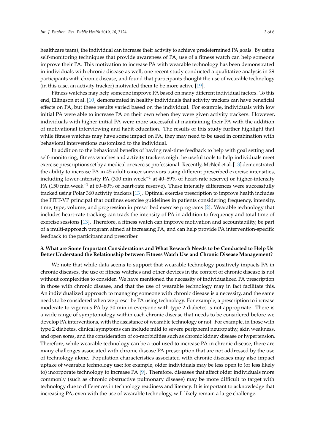healthcare team), the individual can increase their activity to achieve predetermined PA goals. By using self-monitoring techniques that provide awareness of PA, use of a fitness watch can help someone improve their PA. This motivation to increase PA with wearable technology has been demonstrated in individuals with chronic disease as well; one recent study conducted a qualitative analysis in 29 participants with chronic disease, and found that participants thought the use of wearable technology (in this case, an activity tracker) motivated them to be more active [\[19\]](#page-6-6).

Fitness watches may help someone improve PA based on many different individual factors. To this end, Ellingson et al. [\[10\]](#page-5-9) demonstrated in healthy individuals that activity trackers can have beneficial effects on PA, but these results varied based on the individual. For example, individuals with low initial PA were able to increase PA on their own when they were given activity trackers. However, individuals with higher initial PA were more successful at maintaining their PA with the addition of motivational interviewing and habit education. The results of this study further highlight that while fitness watches may have some impact on PA, they may need to be used in combination with behavioral interventions customized to the individual.

In addition to the behavioral benefits of having real-time feedback to help with goal setting and self-monitoring, fitness watches and activity trackers might be useful tools to help individuals meet exercise prescriptions set by a medical or exercise professional. Recently, McNeil et al. [\[13\]](#page-6-0) demonstrated the ability to increase PA in 45 adult cancer survivors using different prescribed exercise intensities, including lower-intensity PA (300 min·week<sup> $-1$ </sup> at 40–59% of heart-rate reserve) or higher-intensity PA (150 min·week<sup>-1</sup> at 60–80% of heart-rate reserve). These intensity differences were successfully tracked using Polar 360 activity trackers [\[13\]](#page-6-0). Optimal exercise prescription to improve health includes the FITT-VP principal that outlines exercise guidelines in patients considering frequency, intensity, time, type, volume, and progression in prescribed exercise programs [\[2\]](#page-5-1). Wearable technology that includes heart-rate tracking can track the intensity of PA in addition to frequency and total time of exercise sessions [\[13\]](#page-6-0). Therefore, a fitness watch can improve motivation and accountability, be part of a multi-approach program aimed at increasing PA, and can help provide PA intervention-specific feedback to the participant and prescriber.

#### **3. What are Some Important Considerations and What Research Needs to be Conducted to Help Us Better Understand the Relationship between Fitness Watch Use and Chronic Disease Management?**

We note that while data seems to support that wearable technology positively impacts PA in chronic diseases, the use of fitness watches and other devices in the context of chronic disease is not without complexities to consider. We have mentioned the necessity of individualized PA prescription in those with chronic disease, and that the use of wearable technology may in fact facilitate this. An individualized approach to managing someone with chronic disease is a necessity, and the same needs to be considered when we prescribe PA using technology. For example, a prescription to increase moderate to vigorous PA by 30 min in everyone with type 2 diabetes is not appropriate. There is a wide range of symptomology within each chronic disease that needs to be considered before we develop PA interventions, with the assistance of wearable technology or not. For example, in those with type 2 diabetes, clinical symptoms can include mild to severe peripheral neuropathy, skin weakness, and open sores, and the consideration of co-morbidities such as chronic kidney disease or hypertension. Therefore, while wearable technology can be a tool used to increase PA in chronic disease, there are many challenges associated with chronic disease PA prescription that are not addressed by the use of technology alone. Population characteristics associated with chronic diseases may also impact uptake of wearable technology use; for example, older individuals may be less open to (or less likely to) incorporate technology to increase PA [\[9\]](#page-5-8). Therefore, diseases that affect older individuals more commonly (such as chronic obstructive pulmonary disease) may be more difficult to target with technology due to differences in technology readiness and literacy. It is important to acknowledge that increasing PA, even with the use of wearable technology, will likely remain a large challenge.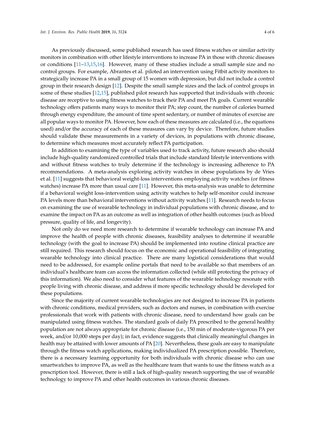As previously discussed, some published research has used fitness watches or similar activity monitors in combination with other lifestyle interventions to increase PA in those with chronic diseases or conditions [\[11–](#page-5-10)[13,](#page-6-0)[15,](#page-6-2)[16\]](#page-6-3). However, many of these studies include a small sample size and no control groups. For example, Abrantes et al. piloted an intervention using Fitbit activity monitors to strategically increase PA in a small group of 15 women with depression, but did not include a control group in their research design [\[12\]](#page-5-11). Despite the small sample sizes and the lack of control groups in some of these studies [\[12](#page-5-11)[,15\]](#page-6-2), published pilot research has supported that individuals with chronic disease are receptive to using fitness watches to track their PA and meet PA goals. Current wearable technology offers patients many ways to monitor their PA; step count, the number of calories burned through energy expenditure, the amount of time spent sedentary, or number of minutes of exercise are all popular ways to monitor PA. However, how each of these measures are calculated (i.e., the equations used) and/or the accuracy of each of these measures can vary by device. Therefore, future studies should validate these measurements in a variety of devices, in populations with chronic disease, to determine which measures most accurately reflect PA participation.

In addition to examining the type of variables used to track activity, future research also should include high-quality randomized controlled trials that include standard lifestyle interventions with and without fitness watches to truly determine if the technology is increasing adherence to PA recommendations. A meta-analysis exploring activity watches in obese populations by de Vries et al. [\[11\]](#page-5-10) suggests that behavioral weight-loss interventions employing activity watches (or fitness watches) increase PA more than usual care [\[11\]](#page-5-10). However, this meta-analysis was unable to determine if a behavioral weight loss-intervention using activity watches to help self-monitor could increase PA levels more than behavioral interventions without activity watches [\[11\]](#page-5-10). Research needs to focus on examining the use of wearable technology in individual populations with chronic disease, and to examine the impact on PA as an outcome as well as integration of other health outcomes (such as blood pressure, quality of life, and longevity).

Not only do we need more research to determine if wearable technology can increase PA and improve the health of people with chronic diseases, feasibility analyses to determine if wearable technology (with the goal to increase PA) should be implemented into routine clinical practice are still required. This research should focus on the economic and operational feasibility of integrating wearable technology into clinical practice. There are many logistical considerations that would need to be addressed, for example online portals that need to be available so that members of an individual's healthcare team can access the information collected (while still protecting the privacy of this information). We also need to consider what features of the wearable technology resonate with people living with chronic disease, and address if more specific technology should be developed for these populations.

Since the majority of current wearable technologies are not designed to increase PA in patients with chronic conditions, medical providers, such as doctors and nurses, in combination with exercise professionals that work with patients with chronic disease, need to understand how goals can be manipulated using fitness watches. The standard goals of daily PA prescribed to the general healthy population are not always appropriate for chronic disease (i.e., 150 min of moderate-vigorous PA per week, and/or 10,000 steps per day); in fact, evidence suggests that clinically meaningful changes in health may be attained with lower amounts of PA [\[20\]](#page-6-7). Nevertheless, these goals are easy to manipulate through the fitness watch applications, making individualized PA prescription possible. Therefore, there is a necessary learning opportunity for both individuals with chronic disease who can use smartwatches to improve PA, as well as the healthcare team that wants to use the fitness watch as a prescription tool. However, there is still a lack of high-quality research supporting the use of wearable technology to improve PA and other health outcomes in various chronic diseases.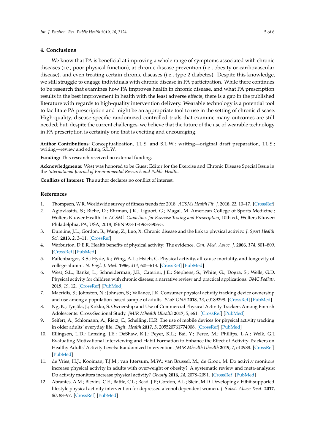#### **4. Conclusions**

We know that PA is beneficial at improving a whole range of symptoms associated with chronic diseases (i.e., poor physical function), at chronic disease prevention (i.e., obesity or cardiovascular disease), and even treating certain chronic diseases (i.e., type 2 diabetes). Despite this knowledge, we still struggle to engage individuals with chronic disease in PA participation. While there continues to be research that examines how PA improves health in chronic disease, and what PA prescription results in the best improvement in health with the least adverse effects, there is a gap in the published literature with regards to high-quality intervention delivery. Wearable technology is a potential tool to facilitate PA prescription and might be an appropriate tool to use in the setting of chronic disease. High-quality, disease-specific randomized controlled trials that examine many outcomes are still needed; but, despite the current challenges, we believe that the future of the use of wearable technology in PA prescription is certainly one that is exciting and encouraging.

**Author Contributions:** Conceptualization, J.L.S. and S.L.W.; writing—original draft preparation, J.L.S.; writing—review and editing, S.L.W.

**Funding:** This research received no external funding.

**Acknowledgments:** West was honored to be Guest Editor for the Exercise and Chronic Disease Special Issue in the *International Journal of Environmental Research and Public Health*.

**Conflicts of Interest:** The author declares no conflict of interest.

#### **References**

- <span id="page-5-0"></span>1. Thompson, W.R. Worldwide survey of fitness trends for 2018. *ACSMs Health Fit. J.* **2018**, *22*, 10–17. [\[CrossRef\]](http://dx.doi.org/10.1249/FIT.0000000000000438)
- <span id="page-5-1"></span>2. Agiovlasitis, S.; Riebe, D.; Ehrman, J.K.; Liguori, G.; Magal, M. American College of Sports Medicine.; Wolters Kluwer Health. In *ACSM's Guidelines for Exercise Testing and Prescription*, 10th ed.; Wolters Kluwer: Philadelphia, PA, USA, 2018; ISBN 978-1-4963-3906-5.
- <span id="page-5-2"></span>3. Durstine, J.L.; Gordon, B.; Wang, Z.; Luo, X. Chronic disease and the link to physical activity. *J. Sport Health Sci.* **2013**, *2*, 3–11. [\[CrossRef\]](http://dx.doi.org/10.1016/j.jshs.2012.07.009)
- <span id="page-5-3"></span>4. Warburton, D.E.R. Health benefits of physical activity: The evidence. *Can. Med. Assoc. J.* **2006**, *174*, 801–809. [\[CrossRef\]](http://dx.doi.org/10.1503/cmaj.051351) [\[PubMed\]](http://www.ncbi.nlm.nih.gov/pubmed/16534088)
- <span id="page-5-4"></span>5. Paffenbarger, R.S.; Hyde, R.; Wing, A.L.; Hsieh, C. Physical activity, all-cause mortality, and longevity of college alumni. *N. Engl. J. Med.* **1986**, *314*, 605–613. [\[CrossRef\]](http://dx.doi.org/10.1056/NEJM198603063141003) [\[PubMed\]](http://www.ncbi.nlm.nih.gov/pubmed/3945246)
- <span id="page-5-5"></span>6. West, S.L.; Banks, L.; Schneiderman, J.E.; Caterini, J.E.; Stephens, S.; White, G.; Dogra, S.; Wells, G.D. Physical activity for children with chronic disease; a narrative review and practical applications. *BMC Pediatr.* **2019**, *19*, 12. [\[CrossRef\]](http://dx.doi.org/10.1186/s12887-018-1377-3) [\[PubMed\]](http://www.ncbi.nlm.nih.gov/pubmed/30621667)
- <span id="page-5-6"></span>7. Macridis, S.; Johnston, N.; Johnson, S.; Vallance, J.K. Consumer physical activity tracking device ownership and use among a population-based sample of adults. *PLoS ONE* **2018**, *13*, e0189298. [\[CrossRef\]](http://dx.doi.org/10.1371/journal.pone.0189298) [\[PubMed\]](http://www.ncbi.nlm.nih.gov/pubmed/29293532)
- <span id="page-5-7"></span>8. Ng, K.; Tynjälä, J.; Kokko, S. Ownership and Use of Commercial Physical Activity Trackers Among Finnish Adolescents: Cross-Sectional Study. *JMIR Mhealth Uhealth* **2017**, *5*, e61. [\[CrossRef\]](http://dx.doi.org/10.2196/mhealth.6940) [\[PubMed\]](http://www.ncbi.nlm.nih.gov/pubmed/28473304)
- <span id="page-5-8"></span>9. Seifert, A.; Schlomann, A.; Rietz, C.; Schelling, H.R. The use of mobile devices for physical activity tracking in older adults' everyday life. *Digit. Health* **2017**, *3*, 205520761774008. [\[CrossRef\]](http://dx.doi.org/10.1177/2055207617740088) [\[PubMed\]](http://www.ncbi.nlm.nih.gov/pubmed/29942617)
- <span id="page-5-9"></span>10. Ellingson, L.D.; Lansing, J.E.; DeShaw, K.J.; Peyer, K.L.; Bai, Y.; Perez, M.; Phillips, L.A.; Welk, G.J. Evaluating Motivational Interviewing and Habit Formation to Enhance the Effect of Activity Trackers on Healthy Adults' Activity Levels: Randomized Intervention. *JMIR Mhealth Uhealth* **2019**, *7*, e10988. [\[CrossRef\]](http://dx.doi.org/10.2196/10988) [\[PubMed\]](http://www.ncbi.nlm.nih.gov/pubmed/30762582)
- <span id="page-5-10"></span>11. de Vries, H.J.; Kooiman, T.J.M.; van Ittersum, M.W.; van Brussel, M.; de Groot, M. Do activity monitors increase physical activity in adults with overweight or obesity? A systematic review and meta-analysis: Do activity monitors increase physical activity? *Obesity* **2016**, *24*, 2078–2091. [\[CrossRef\]](http://dx.doi.org/10.1002/oby.21619) [\[PubMed\]](http://www.ncbi.nlm.nih.gov/pubmed/27670401)
- <span id="page-5-11"></span>12. Abrantes, A.M.; Blevins, C.E.; Battle, C.L.; Read, J.P.; Gordon, A.L.; Stein, M.D. Developing a Fitbit-supported lifestyle physical activity intervention for depressed alcohol dependent women. *J. Subst. Abuse Treat.* **2017**, *80*, 88–97. [\[CrossRef\]](http://dx.doi.org/10.1016/j.jsat.2017.07.006) [\[PubMed\]](http://www.ncbi.nlm.nih.gov/pubmed/28755778)